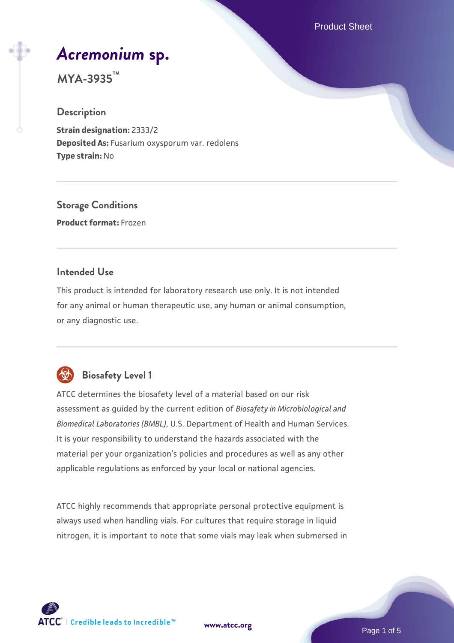Product Sheet

# *[Acremonium](https://www.atcc.org/products/mya-3935)* **[sp.](https://www.atcc.org/products/mya-3935)**

**MYA-3935™**

#### **Description**

**Strain designation:** 2333/2 **Deposited As:** Fusarium oxysporum var. redolens **Type strain:** No

**Storage Conditions Product format:** Frozen

#### **Intended Use**

This product is intended for laboratory research use only. It is not intended for any animal or human therapeutic use, any human or animal consumption, or any diagnostic use.



# **Biosafety Level 1**

ATCC determines the biosafety level of a material based on our risk assessment as guided by the current edition of *Biosafety in Microbiological and Biomedical Laboratories (BMBL)*, U.S. Department of Health and Human Services. It is your responsibility to understand the hazards associated with the material per your organization's policies and procedures as well as any other applicable regulations as enforced by your local or national agencies.

ATCC highly recommends that appropriate personal protective equipment is always used when handling vials. For cultures that require storage in liquid nitrogen, it is important to note that some vials may leak when submersed in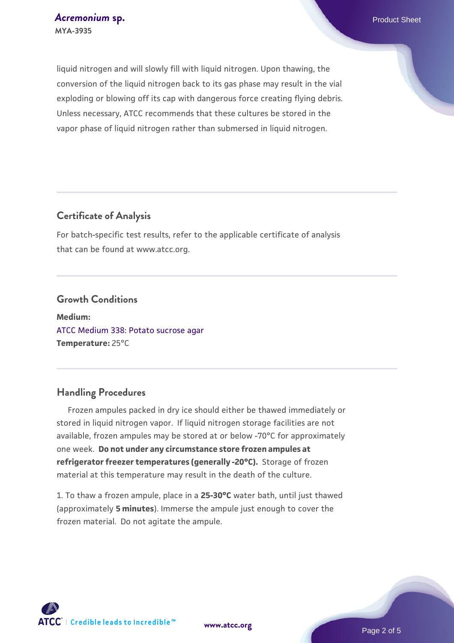liquid nitrogen and will slowly fill with liquid nitrogen. Upon thawing, the conversion of the liquid nitrogen back to its gas phase may result in the vial exploding or blowing off its cap with dangerous force creating flying debris. Unless necessary, ATCC recommends that these cultures be stored in the vapor phase of liquid nitrogen rather than submersed in liquid nitrogen.

#### **Certificate of Analysis**

For batch-specific test results, refer to the applicable certificate of analysis that can be found at www.atcc.org.

#### **Growth Conditions**

**Medium:**  [ATCC Medium 338: Potato sucrose agar](https://www.atcc.org/-/media/product-assets/documents/microbial-media-formulations/3/3/8/atcc-medium-338.pdf?rev=46546b6f4a85482b856b30458c18db73) **Temperature:** 25°C

#### **Handling Procedures**

 Frozen ampules packed in dry ice should either be thawed immediately or stored in liquid nitrogen vapor. If liquid nitrogen storage facilities are not available, frozen ampules may be stored at or below -70°C for approximately one week. **Do not under any circumstance store frozen ampules at refrigerator freezer temperatures (generally -20°C).** Storage of frozen material at this temperature may result in the death of the culture.

1. To thaw a frozen ampule, place in a **25-30°C** water bath, until just thawed (approximately **5 minutes**). Immerse the ampule just enough to cover the frozen material. Do not agitate the ampule.

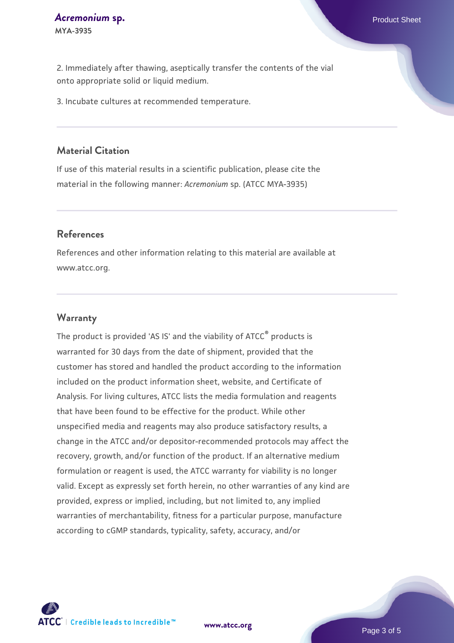2. Immediately after thawing, aseptically transfer the contents of the vial onto appropriate solid or liquid medium.

3. Incubate cultures at recommended temperature.

#### **Material Citation**

If use of this material results in a scientific publication, please cite the material in the following manner: *Acremonium* sp. (ATCC MYA-3935)

#### **References**

References and other information relating to this material are available at www.atcc.org.

#### **Warranty**

The product is provided 'AS IS' and the viability of ATCC<sup>®</sup> products is warranted for 30 days from the date of shipment, provided that the customer has stored and handled the product according to the information included on the product information sheet, website, and Certificate of Analysis. For living cultures, ATCC lists the media formulation and reagents that have been found to be effective for the product. While other unspecified media and reagents may also produce satisfactory results, a change in the ATCC and/or depositor-recommended protocols may affect the recovery, growth, and/or function of the product. If an alternative medium formulation or reagent is used, the ATCC warranty for viability is no longer valid. Except as expressly set forth herein, no other warranties of any kind are provided, express or implied, including, but not limited to, any implied warranties of merchantability, fitness for a particular purpose, manufacture according to cGMP standards, typicality, safety, accuracy, and/or

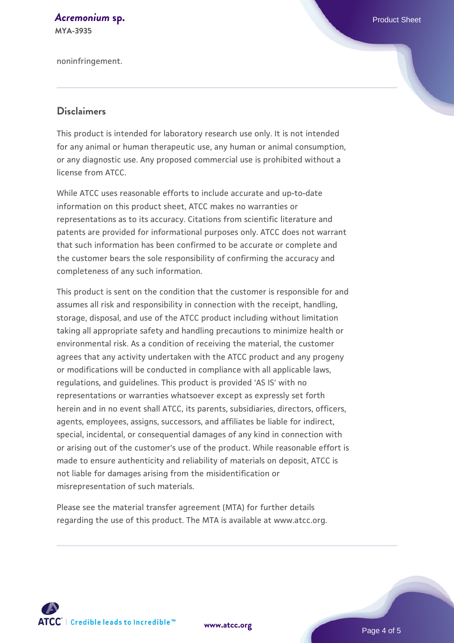# **[Acremonium](https://www.atcc.org/products/mya-3935) [sp.](https://www.atcc.org/products/mya-3935)** Product Sheet

**MYA-3935**

noninfringement.

#### **Disclaimers**

This product is intended for laboratory research use only. It is not intended for any animal or human therapeutic use, any human or animal consumption, or any diagnostic use. Any proposed commercial use is prohibited without a license from ATCC.

While ATCC uses reasonable efforts to include accurate and up-to-date information on this product sheet, ATCC makes no warranties or representations as to its accuracy. Citations from scientific literature and patents are provided for informational purposes only. ATCC does not warrant that such information has been confirmed to be accurate or complete and the customer bears the sole responsibility of confirming the accuracy and completeness of any such information.

This product is sent on the condition that the customer is responsible for and assumes all risk and responsibility in connection with the receipt, handling, storage, disposal, and use of the ATCC product including without limitation taking all appropriate safety and handling precautions to minimize health or environmental risk. As a condition of receiving the material, the customer agrees that any activity undertaken with the ATCC product and any progeny or modifications will be conducted in compliance with all applicable laws, regulations, and guidelines. This product is provided 'AS IS' with no representations or warranties whatsoever except as expressly set forth herein and in no event shall ATCC, its parents, subsidiaries, directors, officers, agents, employees, assigns, successors, and affiliates be liable for indirect, special, incidental, or consequential damages of any kind in connection with or arising out of the customer's use of the product. While reasonable effort is made to ensure authenticity and reliability of materials on deposit, ATCC is not liable for damages arising from the misidentification or misrepresentation of such materials.

Please see the material transfer agreement (MTA) for further details regarding the use of this product. The MTA is available at www.atcc.org.



**[www.atcc.org](http://www.atcc.org)**

Page 4 of 5